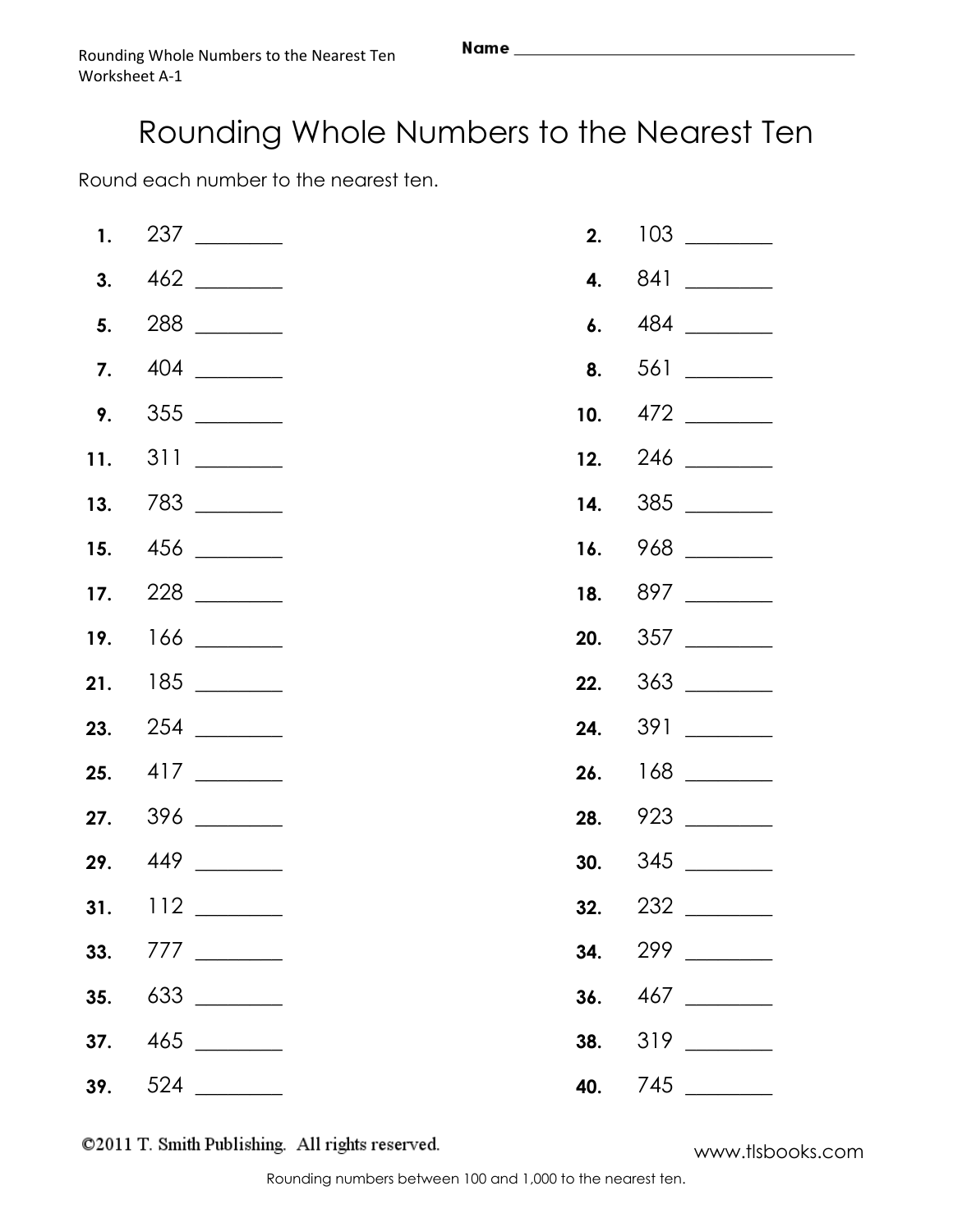Round each number to the nearest ten.

|  |  | 28. 923 |
|--|--|---------|
|  |  |         |
|  |  |         |
|  |  |         |
|  |  |         |
|  |  |         |
|  |  |         |

©2011 T. Smith Publishing. All rights reserved.

www.tlsbooks.com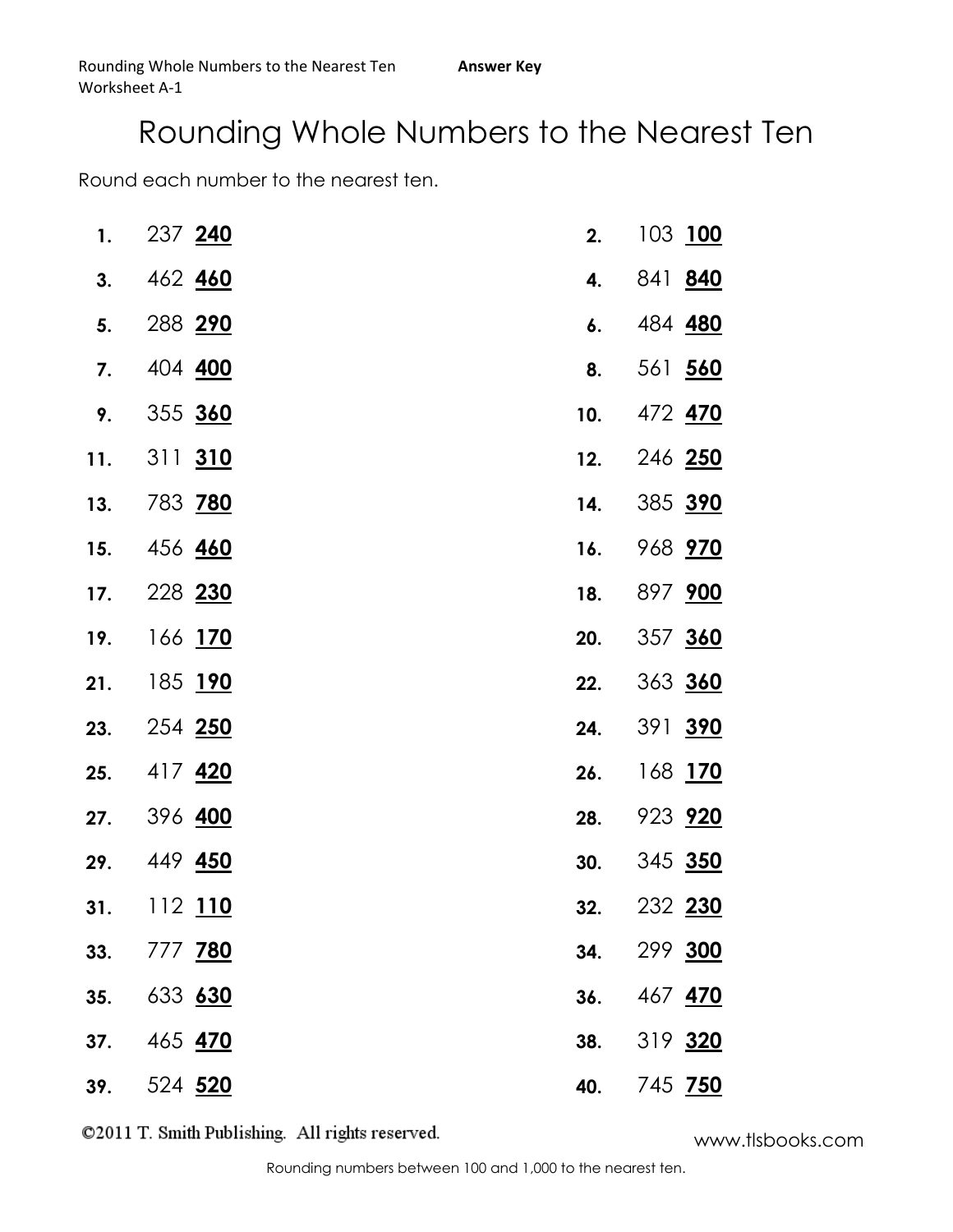Round each number to the nearest ten.

| 1.  | 237 240              | 2.  | 103 100        |
|-----|----------------------|-----|----------------|
| 3.  | 462 460              | 4.  | 841 840        |
| 5.  | 288 290              | 6.  | 484 480        |
| 7.  | 404 400              | 8.  | 561 560        |
| 9.  | 355 360              | 10. | 472 470        |
| 11. | 311 310              | 12. | 246 250        |
| 13. | 783 <mark>780</mark> | 14. | 385 390        |
| 15. | 456 460              | 16. | 968 970        |
| 17. | 228 230              | 18. | 897 900        |
| 19. | 166 <u>170</u>       | 20. | 357 360        |
| 21. | 185 <mark>190</mark> | 22. | 363 360        |
| 23. | 254 250              | 24. | 391 390        |
| 25. | 417 <b>420</b>       | 26. | 168 <u>170</u> |
| 27. | 396 400              | 28. | 923 920        |
| 29. | 449 <u>450</u>       | 30. | 345 350        |
| 31. | 112 110              | 32. | 232 230        |
| 33. | 777 780              | 34. | 299 300        |
| 35. | 633 630              | 36. | 467 470        |
| 37. | 465 470              | 38. | 319 320        |
| 39. | 524 520              | 40. | 745 750        |

www.tlsbooks.com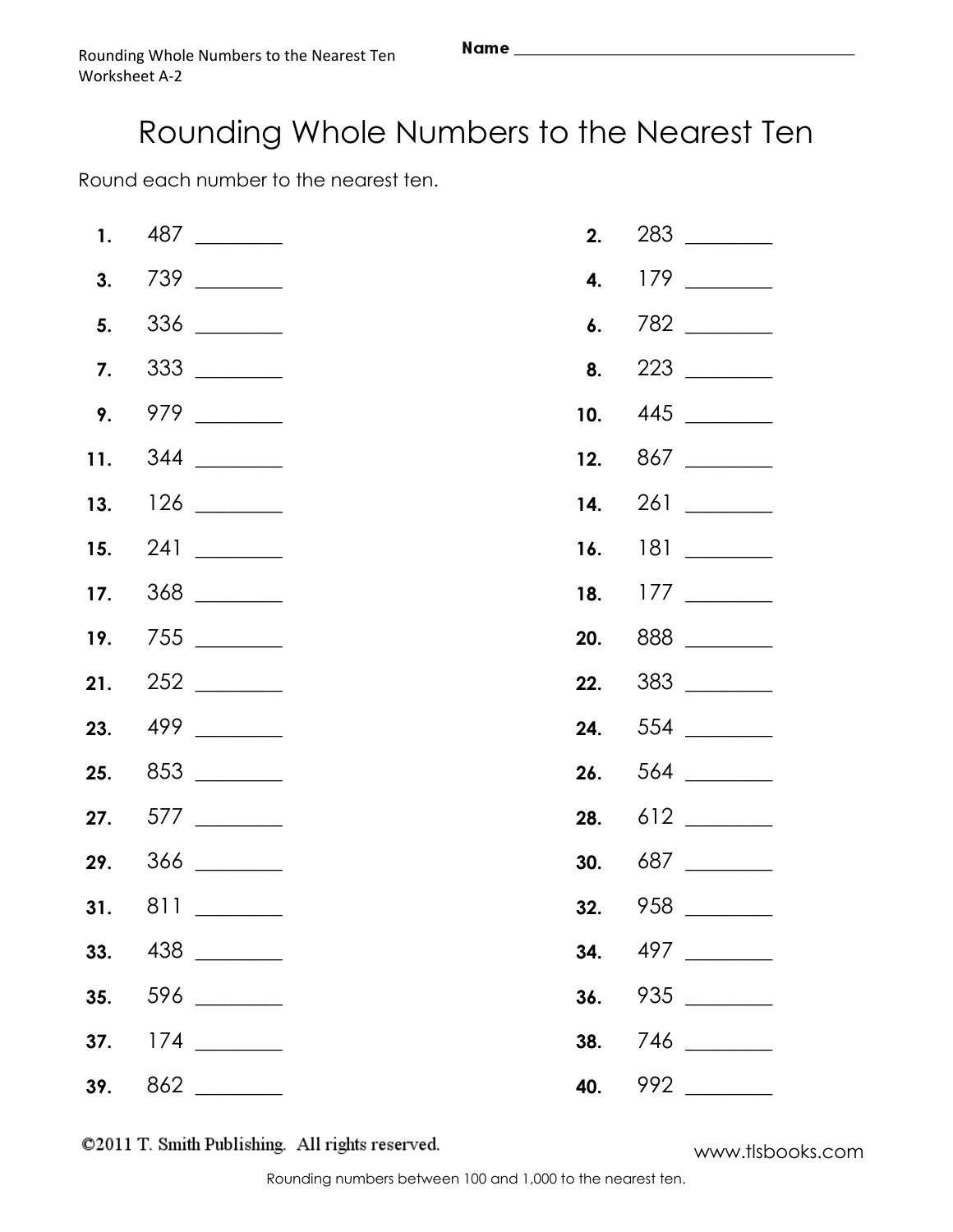Round each number to the nearest ten.

|  | $\frac{336}{\frac{1}{2}}$ |         |
|--|---------------------------|---------|
|  |                           |         |
|  |                           |         |
|  |                           |         |
|  |                           |         |
|  |                           |         |
|  |                           |         |
|  |                           | 20. 888 |
|  |                           |         |
|  |                           |         |
|  |                           |         |
|  |                           |         |
|  |                           |         |
|  |                           |         |
|  |                           |         |
|  |                           |         |
|  |                           |         |
|  |                           | 40. 992 |

©2011 T. Smith Publishing. All rights reserved.

www.tlsbooks.com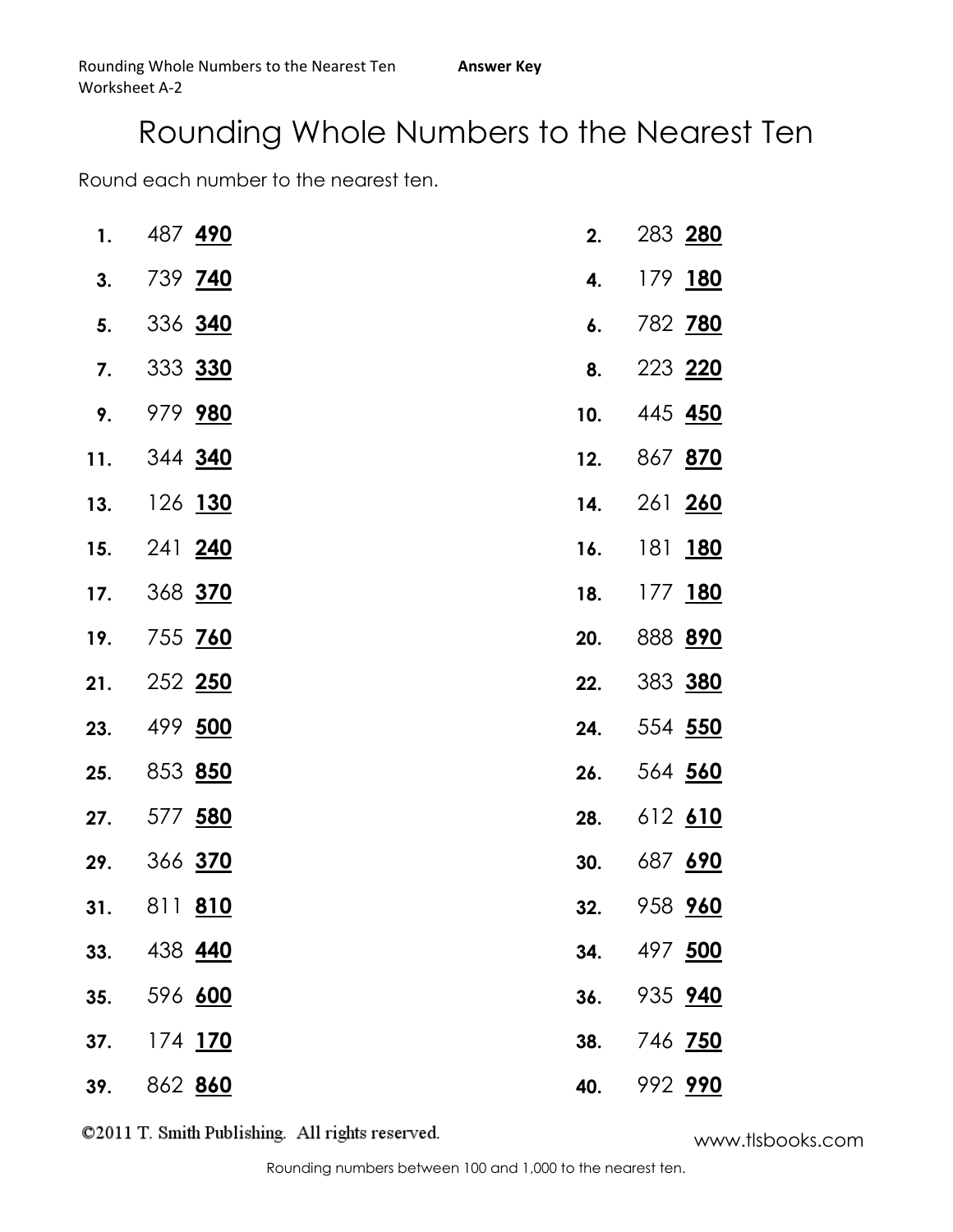Round each number to the nearest ten.

| 1.  | 487 490              | 2.  | 283 280        |
|-----|----------------------|-----|----------------|
| 3.  | 739 740              | 4.  | 179 180        |
| 5.  | 336 340              | 6.  | 782 780        |
| 7.  | 333 330              | 8.  | 223 220        |
| 9.  | 979 980              | 10. | 445 <b>450</b> |
| 11. | 344 <mark>340</mark> | 12. | 867 870        |
| 13. | 126 130              | 14. | 261 260        |
| 15. | 241 240              | 16. | 181 180        |
| 17. | 368 370              | 18. | 177 180        |
| 19. | 755 <mark>760</mark> | 20. | 888 890        |
| 21. | 252 250              | 22. | 383 380        |
| 23. | 499 500              | 24. | 554 550        |
| 25. | 853 850              | 26. | 564 560        |
| 27. | 577 580              | 28. | 612 610        |
| 29. | 366 <mark>370</mark> | 30. | 687 690        |
| 31. | 811 810              | 32. | 958 960        |
| 33. | 438 440              | 34. | 497 500        |
| 35. | 596 600              | 36. | 935 940        |
| 37. | 174 <mark>170</mark> | 38. | 746 750        |
| 39. | 862 <mark>860</mark> | 40. | 992 990        |

www.tlsbooks.com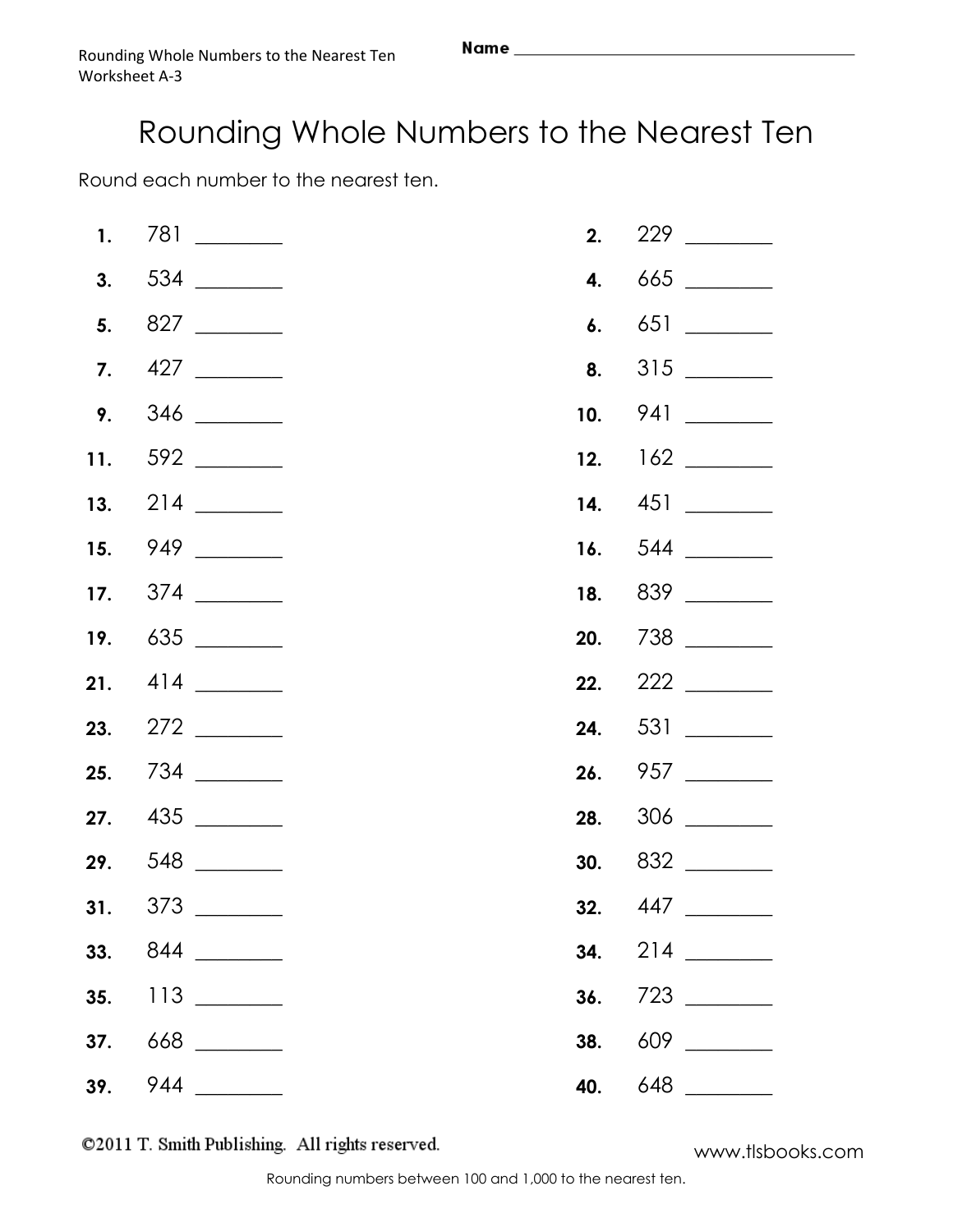Round each number to the nearest ten.

|  |     | <b>22.</b> $222$ |
|--|-----|------------------|
|  |     |                  |
|  |     |                  |
|  |     |                  |
|  |     |                  |
|  |     |                  |
|  |     |                  |
|  |     |                  |
|  |     |                  |
|  | 40. |                  |

©2011 T. Smith Publishing. All rights reserved.

www.tlsbooks.com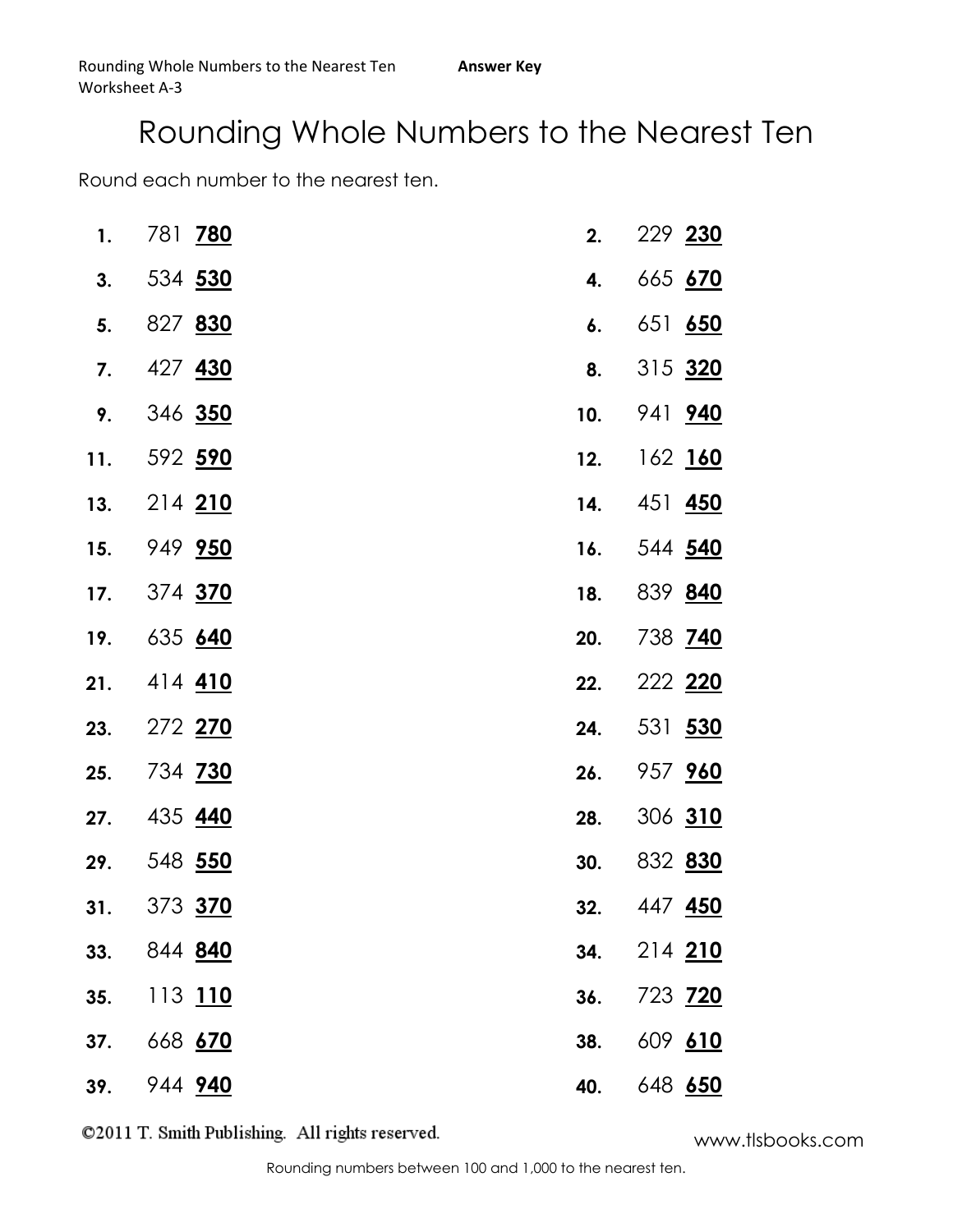Round each number to the nearest ten.

| 1.  | 781 780              | 2.  | 229 230        |
|-----|----------------------|-----|----------------|
| 3.  | 534 530              | 4.  | 665 670        |
| 5.  | 827 830              | 6.  | 651 650        |
| 7.  | 427 430              | 8.  | 315 320        |
| 9.  | 346 350              | 10. | 941 940        |
| 11. | 592 <mark>590</mark> | 12. | 162 160        |
| 13. | 214 210              | 14. | 451 <b>450</b> |
| 15. | 949 <mark>950</mark> | 16. | 544 540        |
| 17. | 374 <mark>370</mark> | 18. | 839 840        |
| 19. | 635 640              | 20. | 738 740        |
| 21. | 414 410              | 22. | 222 220        |
| 23. | 272 270              | 24. | 531 530        |
| 25. | 734 <mark>730</mark> | 26. | 957 960        |
| 27. | 435 440              | 28. | 306 310        |
| 29. | 548 <u>550</u>       | 30. | 832 830        |
| 31. | 373 370              | 32. | 447 <b>450</b> |
| 33. | 844 840              | 34. | 214 210        |
| 35. | 113 110              | 36. | 723 720        |
| 37. | 668 670              | 38. | 609 610        |
| 39. | 944 940              | 40. | 648 650        |

www.tlsbooks.com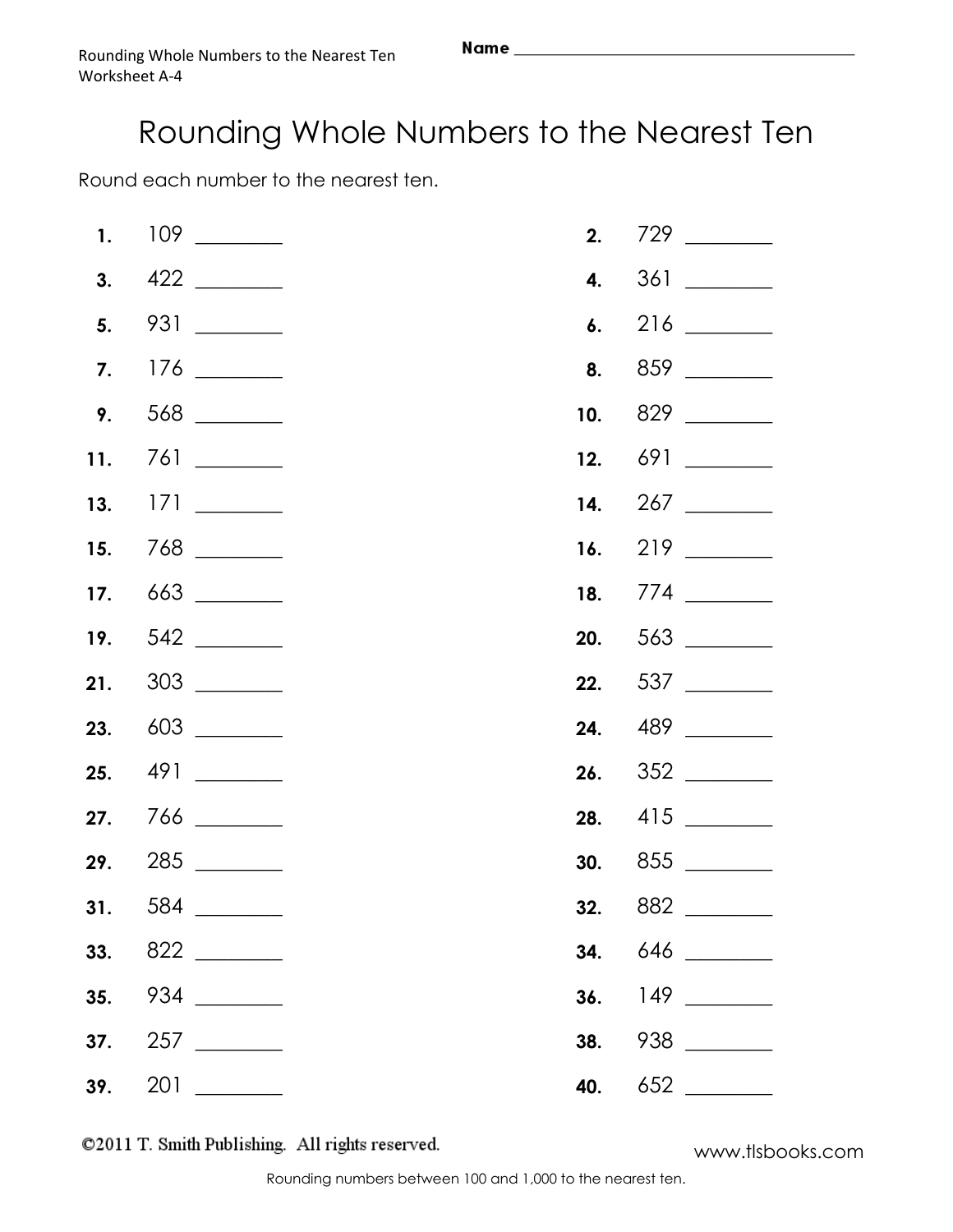Round each number to the nearest ten.

| 23. 603 | 24. 489 |
|---------|---------|
|         |         |
|         |         |
|         |         |
|         |         |
|         |         |
|         |         |
|         |         |
|         |         |

©2011 T. Smith Publishing. All rights reserved.

www.tlsbooks.com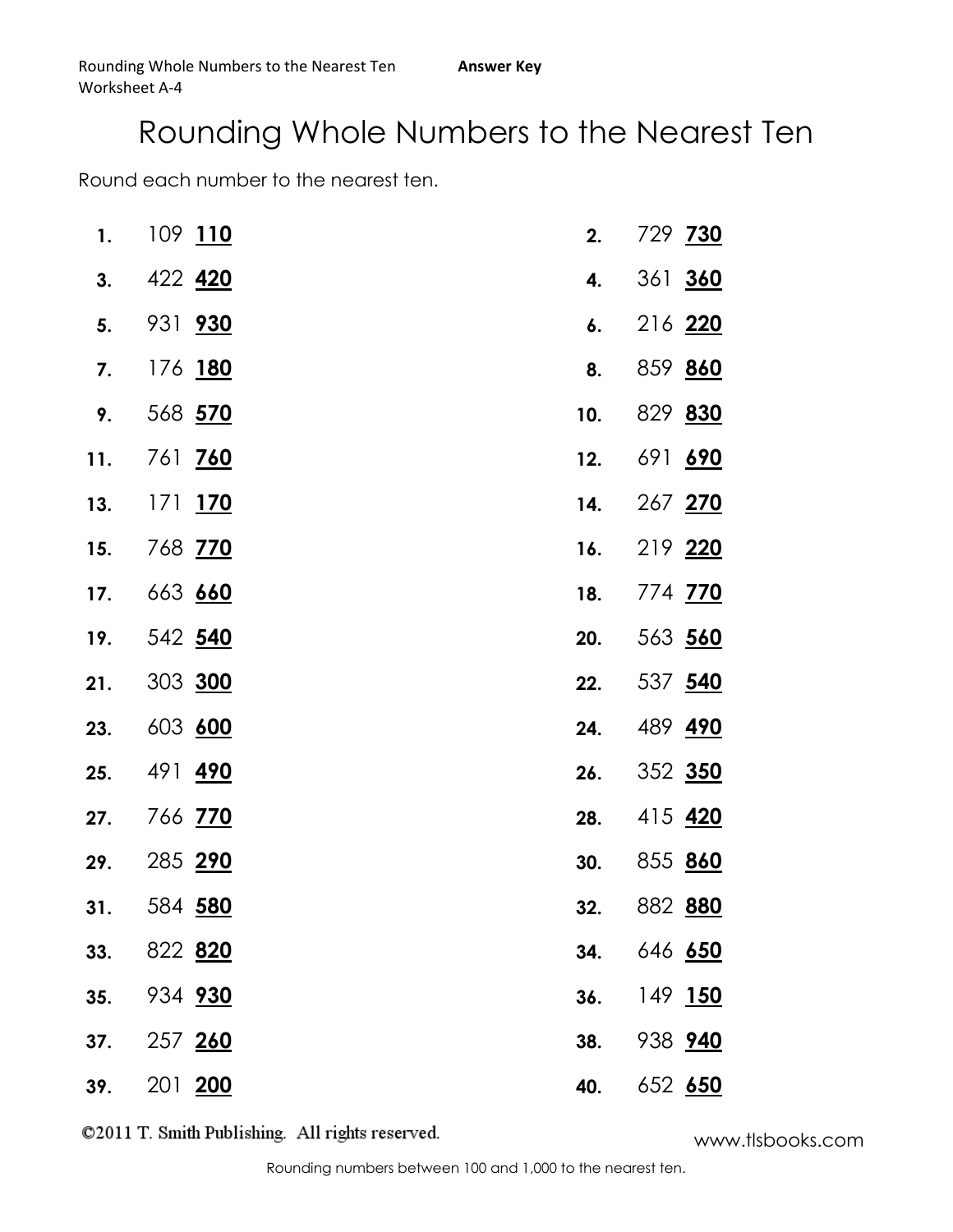Round each number to the nearest ten.

| 1.  | 109 110              | 2.  | 729 730 |
|-----|----------------------|-----|---------|
| 3.  | 422 420              | 4.  | 361 360 |
| 5.  | 931 930              | 6.  | 216 220 |
| 7.  | 176 180              | 8.  | 859 860 |
| 9.  | 568 570              | 10. | 829 830 |
| 11. | 761 <mark>760</mark> | 12. | 691 690 |
| 13. | 171 <u>170</u>       | 14. | 267 270 |
| 15. | 768 <mark>770</mark> | 16. | 219 220 |
| 17. | 663 660              | 18. | 774 770 |
| 19. | 542 <u>540</u>       | 20. | 563 560 |
| 21. | 303 300              | 22. | 537 540 |
| 23. | 603 600              | 24. | 489 490 |
| 25. | 491 <mark>490</mark> | 26. | 352 350 |
| 27. | 766 <mark>770</mark> | 28. | 415 420 |
| 29. | 285 290              | 30. | 855 860 |
| 31. | 584 <mark>580</mark> | 32. | 882 880 |
| 33. | 822 820              | 34. | 646 650 |
| 35. | 934 930              | 36. | 149 150 |
| 37. | 257 260              | 38. | 938 940 |
| 39. | 201 200              | 40. | 652 650 |

www.tlsbooks.com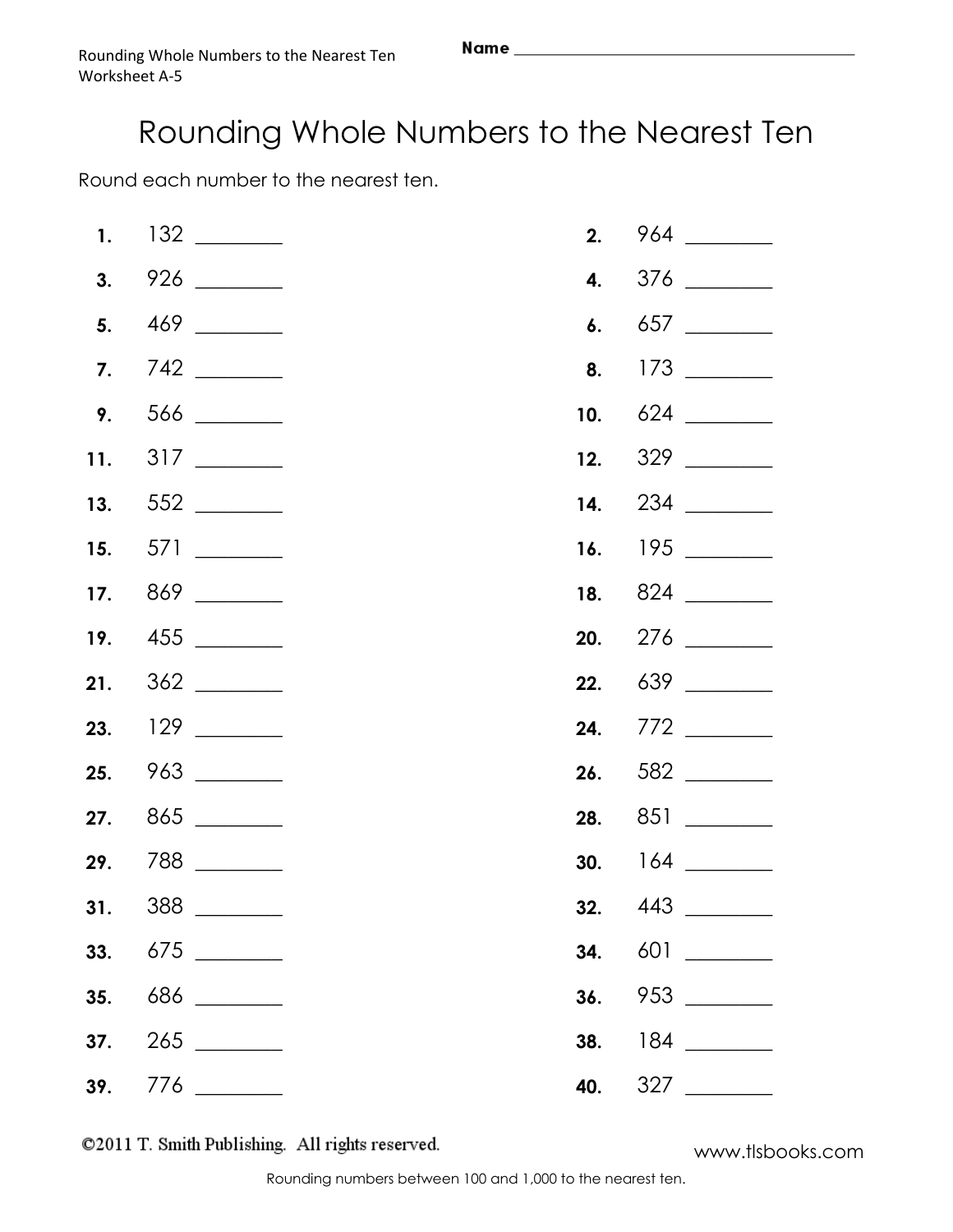Round each number to the nearest ten.

| 29. 788 |  |  |
|---------|--|--|
|         |  |  |
|         |  |  |
|         |  |  |
|         |  |  |
|         |  |  |

©2011 T. Smith Publishing. All rights reserved.

www.tlsbooks.com